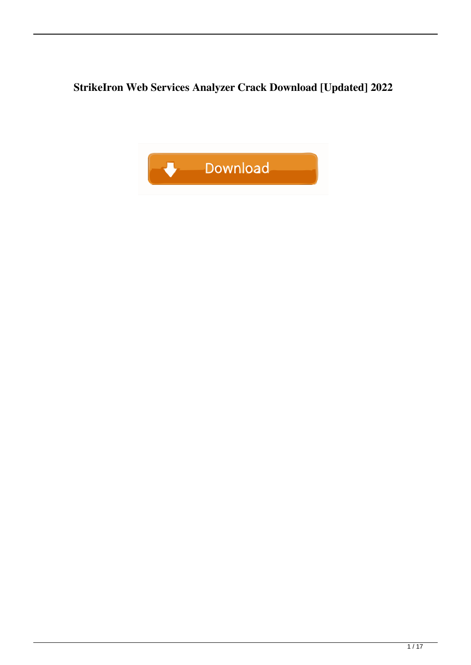**StrikeIron Web Services Analyzer Crack Download [Updated] 2022**

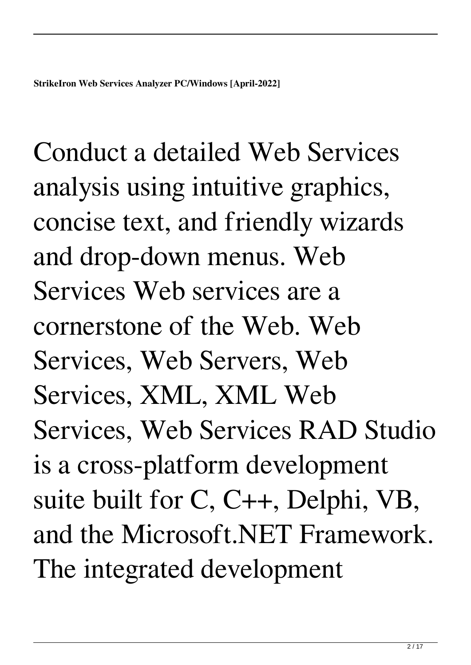Conduct a detailed Web Services analysis using intuitive graphics, concise text, and friendly wizards and drop-down menus. Web Services Web services are a cornerstone of the Web. Web Services, Web Servers, Web Services, XML, XML Web Services, Web Services RAD Studio is a cross-platform development suite built for C, C++, Delphi, VB, and the Microsoft.NET Framework. The integrated development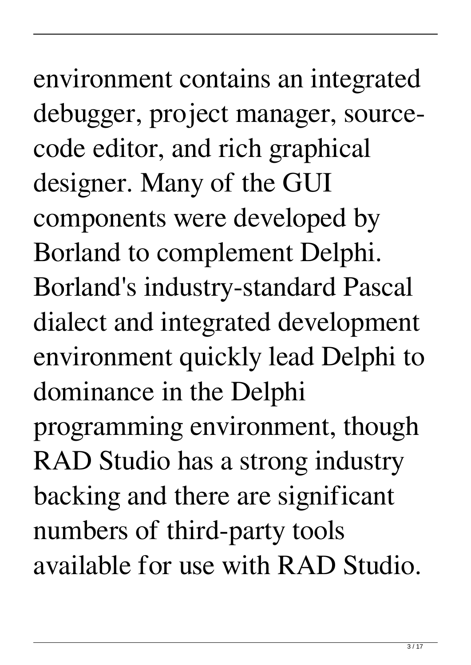## environment contains an integrated debugger, project manager, sourcecode editor, and rich graphical designer. Many of the GUI components were developed by Borland to complement Delphi. Borland's industry-standard Pascal dialect and integrated development environment quickly lead Delphi to dominance in the Delphi

programming environment, though RAD Studio has a strong industry backing and there are significant numbers of third-party tools available for use with RAD Studio.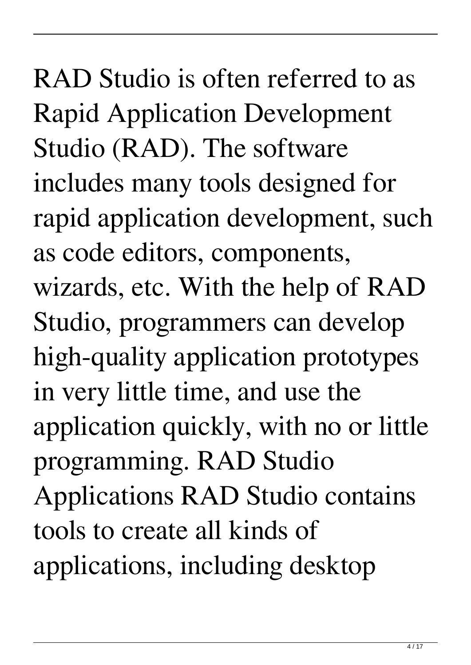RAD Studio is often referred to as Rapid Application Development Studio (RAD). The software includes many tools designed for rapid application development, such as code editors, components, wizards, etc. With the help of RAD Studio, programmers can develop high-quality application prototypes in very little time, and use the application quickly, with no or little programming. RAD Studio Applications RAD Studio contains tools to create all kinds of applications, including desktop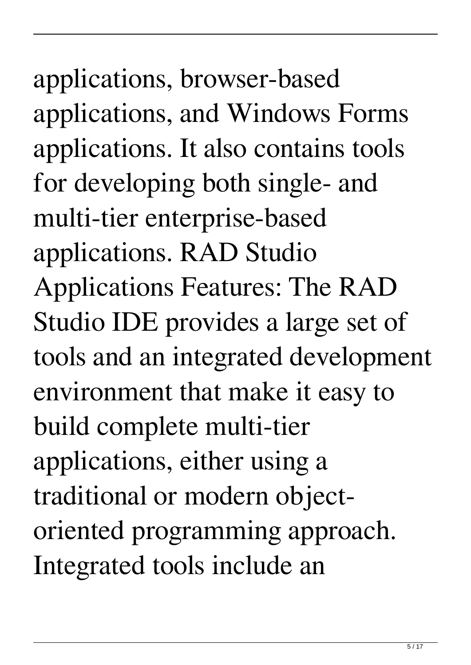applications, browser-based applications, and Windows Forms applications. It also contains tools for developing both single- and multi-tier enterprise-based applications. RAD Studio Applications Features: The RAD Studio IDE provides a large set of tools and an integrated development environment that make it easy to build complete multi-tier applications, either using a traditional or modern objectoriented programming approach. Integrated tools include an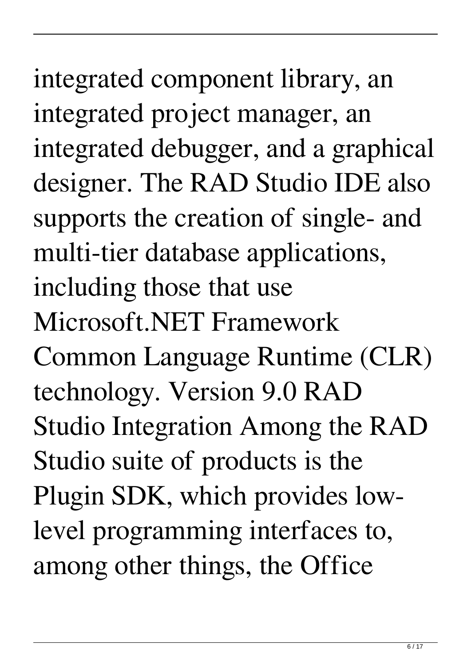integrated component library, an integrated project manager, an integrated debugger, and a graphical designer. The RAD Studio IDE also supports the creation of single- and multi-tier database applications, including those that use Microsoft.NET Framework Common Language Runtime (CLR) technology. Version 9.0 RAD Studio Integration Among the RAD Studio suite of products is the Plugin SDK, which provides lowlevel programming interfaces to, among other things, the Office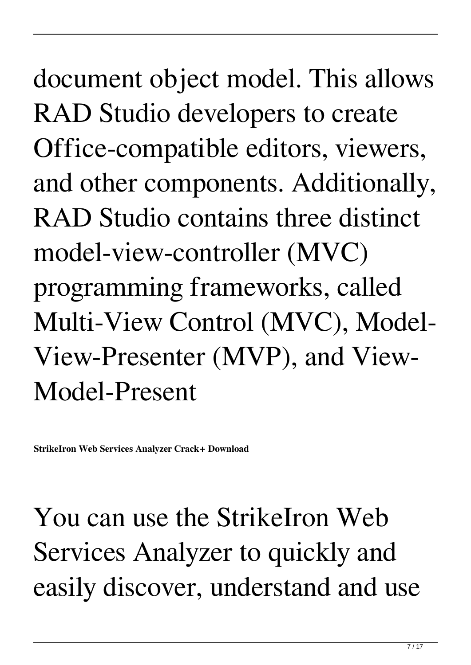document object model. This allows RAD Studio developers to create Office-compatible editors, viewers, and other components. Additionally, RAD Studio contains three distinct model-view-controller (MVC) programming frameworks, called Multi-View Control (MVC), Model-View-Presenter (MVP), and View-Model-Present

**StrikeIron Web Services Analyzer Crack+ Download**

You can use the StrikeIron Web Services Analyzer to quickly and easily discover, understand and use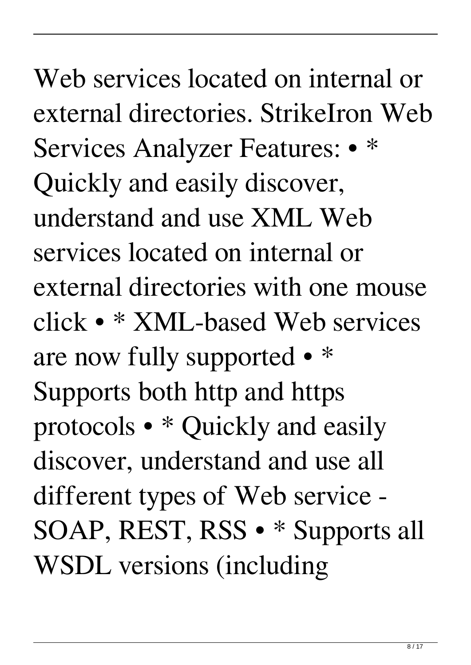Web services located on internal or external directories. StrikeIron Web Services Analyzer Features: • \* Quickly and easily discover, understand and use XML Web services located on internal or external directories with one mouse click • \* XML-based Web services are now fully supported • \* Supports both http and https protocols • \* Quickly and easily discover, understand and use all different types of Web service - SOAP, REST, RSS • \* Supports all WSDL versions (including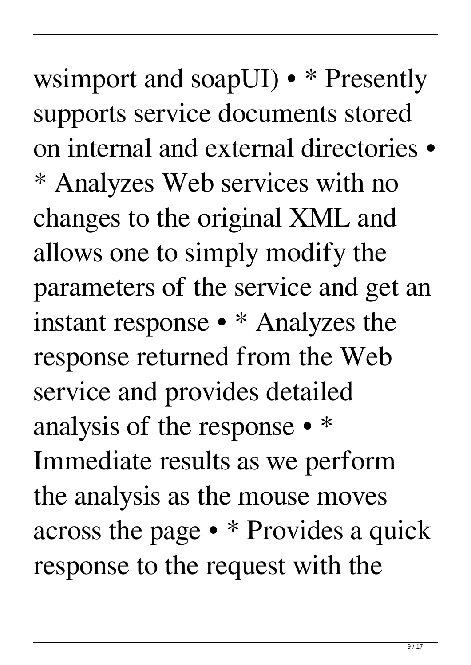wsimport and soapUI) • \* Presently supports service documents stored on internal and external directories • \* Analyzes Web services with no changes to the original XML and allows one to simply modify the parameters of the service and get an instant response • \* Analyzes the response returned from the Web service and provides detailed analysis of the response • \* Immediate results as we perform the analysis as the mouse moves across the page • \* Provides a quick response to the request with the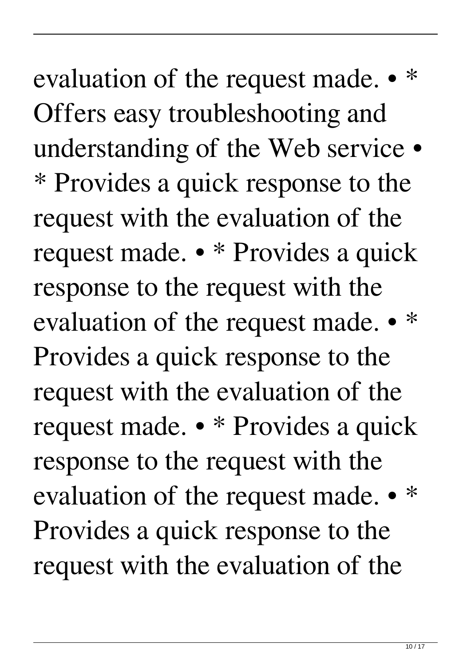evaluation of the request made.  $\bullet$ Offers easy troubleshooting and understanding of the Web service • \* Provides a quick response to the request with the evaluation of the request made. • \* Provides a quick response to the request with the evaluation of the request made. • \* Provides a quick response to the request with the evaluation of the request made. • \* Provides a quick response to the request with the evaluation of the request made. • \* Provides a quick response to the request with the evaluation of the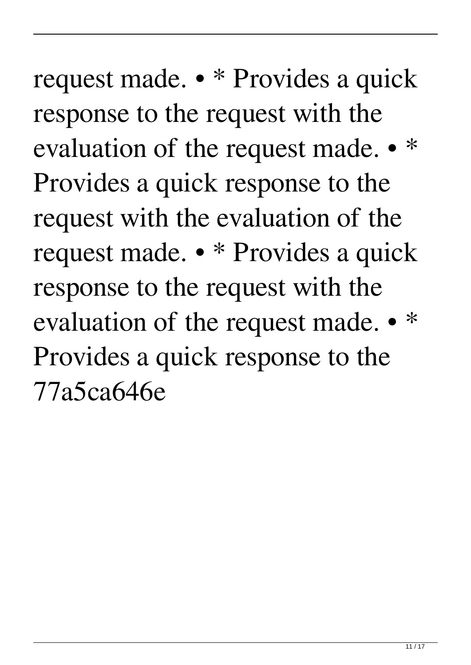request made. • \* Provides a quick response to the request with the evaluation of the request made. • \* Provides a quick response to the request with the evaluation of the request made. • \* Provides a quick response to the request with the evaluation of the request made. • \* Provides a quick response to the 77a5ca646e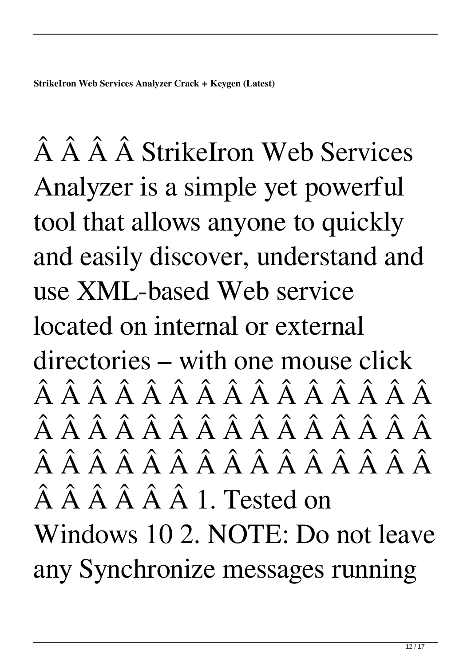**StrikeIron Web Services Analyzer Crack + Keygen (Latest)**

 Â Â StrikeIron Web Services Analyzer is a simple yet powerful tool that allows anyone to quickly and easily discover, understand and use XML-based Web service located on internal or external directories – with one mouse click  $\hat{A}$   $\hat{A}$   $\hat{A}$   $\hat{A}$   $\hat{A}$   $\hat{A}$   $\hat{A}$   $\hat{A}$   $\hat{A}$   $\hat{A}$   $\hat{A}$   $\hat{A}$   $\hat{A}$   $\hat{A}$  $\hat{A}$   $\hat{A}$   $\hat{A}$   $\hat{A}$   $\hat{A}$   $\hat{A}$   $\hat{A}$   $\hat{A}$   $\hat{A}$   $\hat{A}$   $\hat{A}$   $\hat{A}$   $\hat{A}$   $\hat{A}$  $\hat{A}$   $\hat{A}$   $\hat{A}$   $\hat{A}$   $\hat{A}$   $\hat{A}$   $\hat{A}$   $\hat{A}$   $\hat{A}$   $\hat{A}$   $\hat{A}$   $\hat{A}$   $\hat{A}$   $\hat{A}$  $\hat{A}$   $\hat{A}$   $\hat{A}$   $\hat{A}$   $\hat{A}$  1. Tested on Windows 10 2. NOTE: Do not leave any Synchronize messages running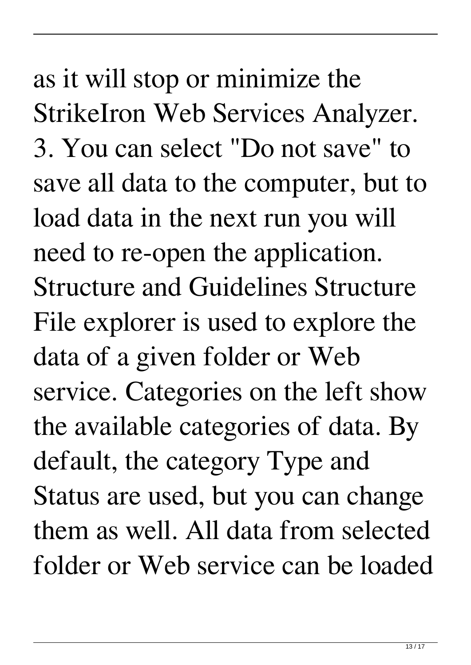as it will stop or minimize the StrikeIron Web Services Analyzer. 3. You can select "Do not save" to save all data to the computer, but to load data in the next run you will need to re-open the application. Structure and Guidelines Structure File explorer is used to explore the data of a given folder or Web service. Categories on the left show the available categories of data. By default, the category Type and Status are used, but you can change them as well. All data from selected folder or Web service can be loaded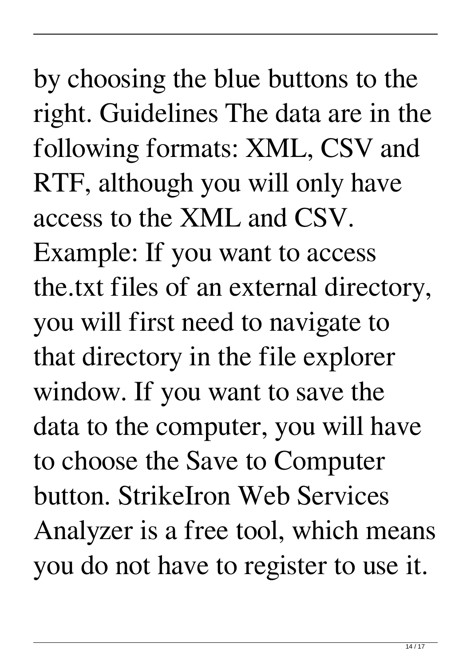by choosing the blue buttons to the right. Guidelines The data are in the following formats: XML, CSV and RTF, although you will only have access to the XML and CSV. Example: If you want to access the.txt files of an external directory, you will first need to navigate to that directory in the file explorer window. If you want to save the data to the computer, you will have to choose the Save to Computer button. StrikeIron Web Services Analyzer is a free tool, which means you do not have to register to use it.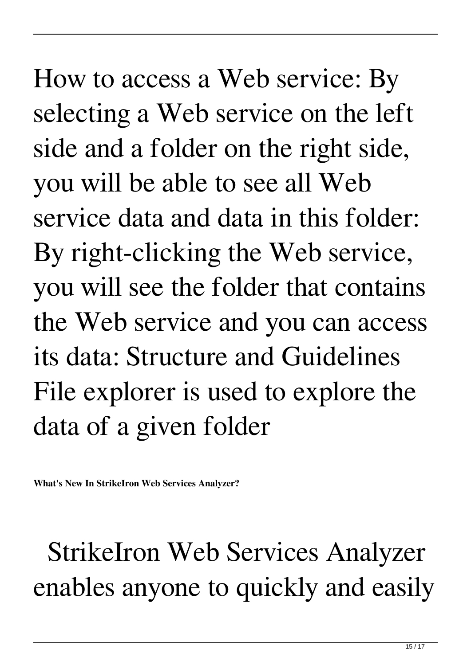How to access a Web service: By selecting a Web service on the left side and a folder on the right side, you will be able to see all Web service data and data in this folder: By right-clicking the Web service, you will see the folder that contains the Web service and you can access its data: Structure and Guidelines File explorer is used to explore the data of a given folder

**What's New In StrikeIron Web Services Analyzer?**

 StrikeIron Web Services Analyzer enables anyone to quickly and easily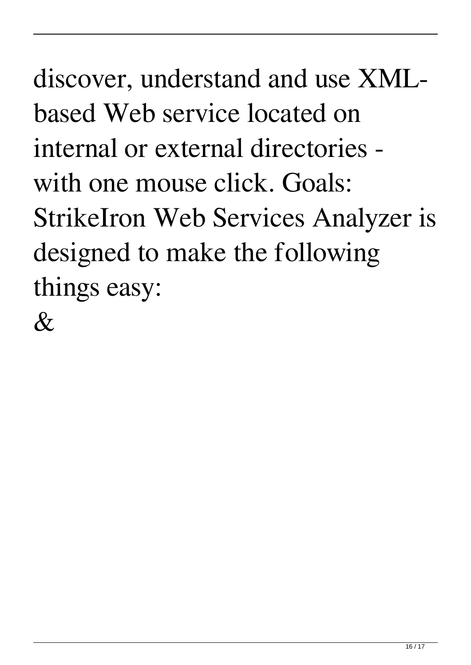discover, understand and use XMLbased Web service located on internal or external directories with one mouse click. Goals: StrikeIron Web Services Analyzer is designed to make the following things easy:

 $\&$